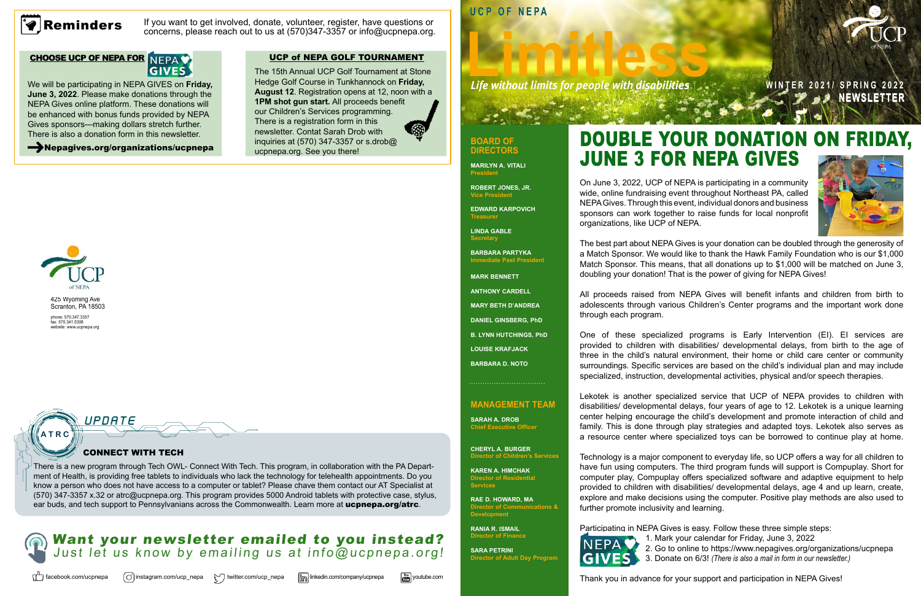

**Peminders** If you want to get involved, donate, volunteer, register, have questions or concerns, please reach out to us at (570)347-3357 or info@ucpnepa.org.

#### CHOOSE UCP OF NEPA FOR NEPA O **GIVES**

425 Wyoming Ave Scranton, PA 18503

phone: 570.347.3357 fax: 570.341.5308 website: www.ucpnepa.org

#### **UCP OF NEPA**

**Life without limits for people with disabilities** 

**NEWSLETTER WINTER 2021/ SPRING 2022**



On June 3, 2022, UCP of NEPA is participating in a community wide, online fundraising event throughout Northeast PA, called NEPA Gives. Through this event, individual donors and business sponsors can work together to raise funds for local nonprofit organizations, like UCP of NEPA.

The best part about NEPA Gives is your donation can be doubled through the generosity of a Match Sponsor. We would like to thank the Hawk Family Foundation who is our \$1,000 Match Sponsor. This means, that all donations up to \$1,000 will be matched on June 3, doubling your donation! That is the power of giving for NEPA Gives!

All proceeds raised from NEPA Gives will benefit infants and children from birth to adolescents through various Children's Center programs and the important work done through each program.

One of these specialized programs is Early Intervention (EI). EI services are provided to children with disabilities/ developmental delays, from birth to the age of three in the child's natural environment, their home or child care center or community surroundings. Specific services are based on the child's individual plan and may include specialized, instruction, developmental activities, physical and/or speech therapies.

**ROBERT JONES, JR. Vice Presiden** 

> Lekotek is another specialized service that UCP of NEPA provides to children with disabilities/ developmental delays, four years of age to 12. Lekotek is a unique learning center helping encourage the child's development and promote interaction of child and family. This is done through play strategies and adapted toys. Lekotek also serves as a resource center where specialized toys can be borrowed to continue play at home.

**RANIA R. ISMAIL Director of Finance** 

There is a new program through Tech OWL- Connect With Tech. This program, in collaboration with the PA Department of Health, is providing free tablets to individuals who lack the technology for telehealth appointments. Do you know a person who does not have access to a computer or tablet? Please chave them contact our AT Specialist at (570) 347-3357 x.32 or atrc@ucpnepa.org. This program provides 5000 Android tablets with protective case, stylus, ear buds, and tech support to Pennsylvanians across the Commonwealth. Learn more at **ucpnepa.org/atrc**.



Technology is a major component to everyday life, so UCP offers a way for all children to have fun using computers. The third program funds will support is Compuplay. Short for computer play, Compuplay offers specialized software and adaptive equipment to help provided to children with disabilities/ developmental delays, age 4 and up learn, create, explore and make decisions using the computer. Positive play methods are also used to further promote inclusivity and learning.

Participating in NEPA Gives is easy. Follow these three simple steps: 1. Mark your calendar for Friday, June 3, 2022 2. Go to online to https://www.nepagives.org/organizations/ucpnepa 3. Donate on 6/3! *(There is also a mail in form in our newsletter.)*



Thank you in advance for your support and participation in NEPA Gives!



Want your newsletter emailed to you instead? Just let us know by emailing us at info@ucpnepa.org!



#### **BOARD OF DIRECTORS**

**MARILYN A. VITALI President**

**EDWARD KARPOVICH Treasurer**

**LINDA GABLE Secretary**

**BARBARA PARTYKA Immediate Past President**

**MARK BENNETT**

**ANTHONY CARDELL**

**MARY BETH D'ANDREA**

**DANIEL GINSBERG, PhD**

**B. LYNN HUTCHINGS, PhD**

**LOUISE KRAFJACK**

**BARBARA D. NOTO**

#### **MANAGEMENT TEAM**

**SARAH A. DROB Chief Executive Officer** 

**CHERYL A. BURGER Director of Children's Services** 

**KAREN A. HIMCHAK Director of Residential Services** 

**RAE D. HOWARD, MA Director of Communications & Development** 

**SARA PETRINI Director of Adult Day Program**

**A T R C**

#### CONNECT WITH TECH

*Update*

## DOUBLE YOUR DONATION ON FRIDAY, JUNE 3 FOR NEPA GIVES

We will be participating in NEPA GIVES on **Friday, June 3, 2022**. Please make donations through the NEPA Gives online platform. These donations will be enhanced with bonus funds provided by NEPA Gives sponsors—making dollars stretch further. There is also a donation form in this newsletter.

Nepagives.org/organizations/ucpnepa

#### UCP of NEPA GOLF TOURNAMENT

The 15th Annual UCP Golf Tournament at Stone Hedge Golf Course in Tunkhannock on **Friday, August 12**. Registration opens at 12, noon with a **1PM shot gun start.** All proceeds benefit our Children's Services programming. There is a registration form in this newsletter. Contat Sarah Drob with inquiries at (570) 347-3357 or s.drob@ ucpnepa.org. See you there!

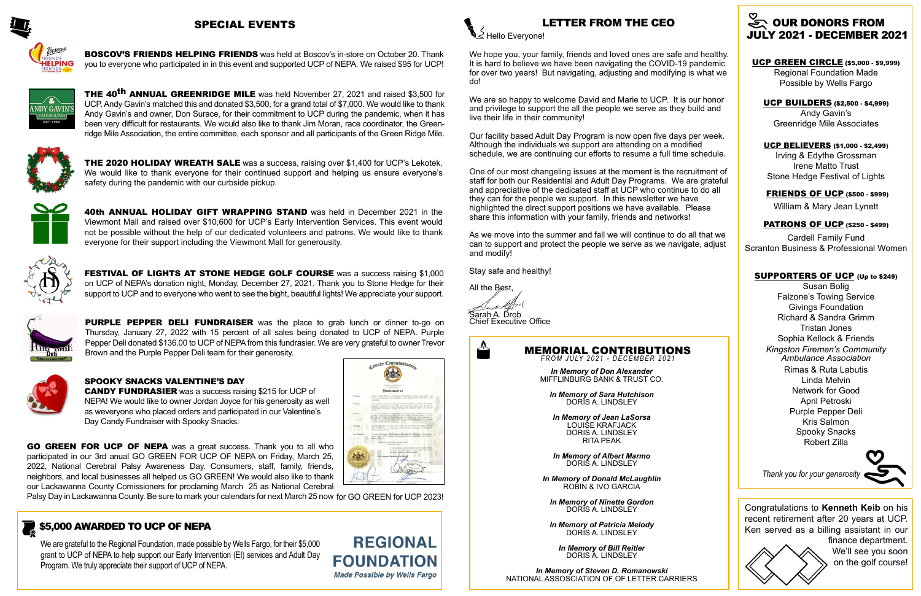#### SPECIAL EVENTS



**THE 2020 HOLIDAY WREATH SALE** was a success, raising over \$1,400 for UCP's Lekotek. We would like to thank everyone for their continued support and helping us ensure everyone's safety during the pandemic with our curbside pickup.



We hope you, your family, friends and loved ones are safe and healthy. It is hard to believe we have been navigating the COVID-19 pandemic for over two years! But navigating, adjusting and modifying is what we do!

We are so happy to welcome David and Marie to UCP. It is our honor and privilege to support the all the people we serve as they build and live their life in their community!

Our facility based Adult Day Program is now open five days per week. Although the individuals we support are attending on a modified schedule, we are continuing our efforts to resume a full time schedule.

One of our most changeling issues at the moment is the recruitment of staff for both our Residential and Adult Day Programs. We are grateful and appreciative of the dedicated staff at UCP who continue to do all they can for the people we support. In this newsletter we have highlighted the direct support positions we have available. Please share this information with your family, friends and networks!

As we move into the summer and fall we will continue to do all that we can to support and protect the people we serve as we navigate, adjust and modify!

Stay safe and healthy!

All the Best,

 $\mathbf{v}$ <u>range</u>

Sarah A. Drob Chief Executive Office

### MEMORIAL CONTRIBUTIONS

*FROM JULY 2021 - DECEMBER 2021*

*In Memory of Don Alexander* MIFFLINBURG BANK & TRUST CO.

*In Memory of Sara Hutchison* DORIS A. LINDSLEY

*In Memory of Jean LaSorsa* LOUISE KRAFJACK DORIS A. LINDSLEY RITA PEAK

*In Memory of Albert Marmo* DORIS A. LINDSLEY

*In Memory of Donald McLaughlin* ROBIN & IVO GARCIA

THE 40<sup>th</sup> ANNUAL GREENRIDGE MILE was held November 27, 2021 and raised \$3,500 for UCP. Andy Gavin's matched this and donated \$3,500, for a grand total of \$7,000. We would like to thank Andy Gavin's and owner, Don Surace, for their commitment to UCP during the pandemic, when it has been very difficult for restaurants. We would also like to thank Jim Moran, race coordinator, the Greenridge Mile Association, the entire committee, each sponsor and all participants of the Green Ridge Mile.



*In Memory of Ninette Gordon* DORIS A. LINDSLEY

*In Memory of Patricia Melody* DORIS A. LINDSLEY

*In Memory of Bill Reitler* DORIS A. LINDSLEY

FESTIVAL OF LIGHTS AT STONE HEDGE GOLF COURSE was a success raising \$1,000 on UCP of NEPA's donation night, Monday, December 27, 2021. Thank you to Stone Hedge for their support to UCP and to everyone who went to see the bight, beautiful lights! We appreciate your support.



*In Memory of Steven D. Romanowski* NATIONAL ASSOSCIATION OF OF LETTER CARRIERS

LETTER FROM THE CEO

#### UCP GREEN CIRCLE (\$5,000 - \$9,999) Regional Foundation Made Possible by Wells Fargo

PURPLE PEPPER DELI FUNDRAISER was the place to grab lunch or dinner to-go on Thursday, January 27, 2022 with 15 percent of all sales being donated to UCP of NEPA. Purple Pepper Deli donated \$136.00 to UCP of NEPA from this fundrasier. We are very grateful to owner Trevor Brown and the Purple Pepper Deli team for their generosity.



UCP BUILDERS (\$2,500 - \$4,999) Andy Gavin's Greenridge Mile Associates

#### UCP BELIEVERS (\$1,000 - \$2,499)

Irving & Edythe Grossman Irene Matto Trust Stone Hedge Festival of Lights

#### FRIENDS OF UCP (\$500 - \$999)

William & Mary Jean Lynett

#### PATRONS OF UCP (\$250 - \$499)

Cardell Family Fund Scranton Business & Professional Women

#### SUPPORTERS OF UCP (Up to \$249)

Susan Bolig Falzone's Towing Service Givings Foundation Richard & Sandra Grimm Tristan Jones Sophia Kellock & Friends *Kingston Firemen's Community Ambulance Association* Rimas & Ruta Labutis Linda Melvin Network for Good April Petroski Purple Pepper Deli Kris Salmon Spooky Snacks Robert Zilla

GO GREEN FOR UCP OF NEPA was a great success. Thank you to all who participated in our 3rd anual GO GREEN FOR UCP OF NEPA on Friday, March 25, 2022, National Cerebral Palsy Awareness Day. Consumers, staff, family, friends, neighbors, and local businesses all helped us GO GREEN! We would also like to thank our Lackawanna County Comissioners for proclaming March 25 as National Cerebral

## OUR DONORS FROM JULY 2021 - DECEMBER 2021

40th ANNUAL HOLIDAY GIFT WRAPPING STAND was held in December 2021 in the Viewmont Mall and raised over \$10,600 for UCP's Early Intervention Services. This event would not be possible without the help of our dedicated volunteers and patrons. We would like to thank everyone for their support including the Viewmont Mall for generousity.



#### SPOOKY SNACKS VALENTINE'S DAY

CANDY FUNDRASIER was a success raising \$215 for UCP of NEPA! We would like to owner Jordan Joyce for his generosity as well as weveryone who placed orders and participated in our Valentine's Day Candy Fundraiser with Spooky Snacks.

#### \$5,000 AWARDED TO UCP OF NEPA

We are grateful to the Regional Foundation, made possible by Wells Fargo, for their \$5,000 grant to UCP of NEPA to help support our Early Intervention (EI) services and Adult Day Program. We truly appreciate their support of UCP of NEPA.



**REGIONAL** 

**FOUNDATION Made Possible by Wells Fargo** 

#### $\geq$  Hello Everyone!

*Thank you for your generosity*



BOSCOV'S FRIENDS HELPING FRIENDS was held at Boscov's in-store on October 20. Thank you to everyone who participated in in this event and supported UCP of NEPA. We raised \$95 for UCP!



Palsy Day in Lackawanna County. Be sure to mark your calendars for next March 25 now for GO GREEN for UCP 2023!



Congratulations to **Kenneth Keib** on his recent retirement after 20 years at UCP. Ken served as a billing assistant in our



finance department. We'll see you soon on the golf course!